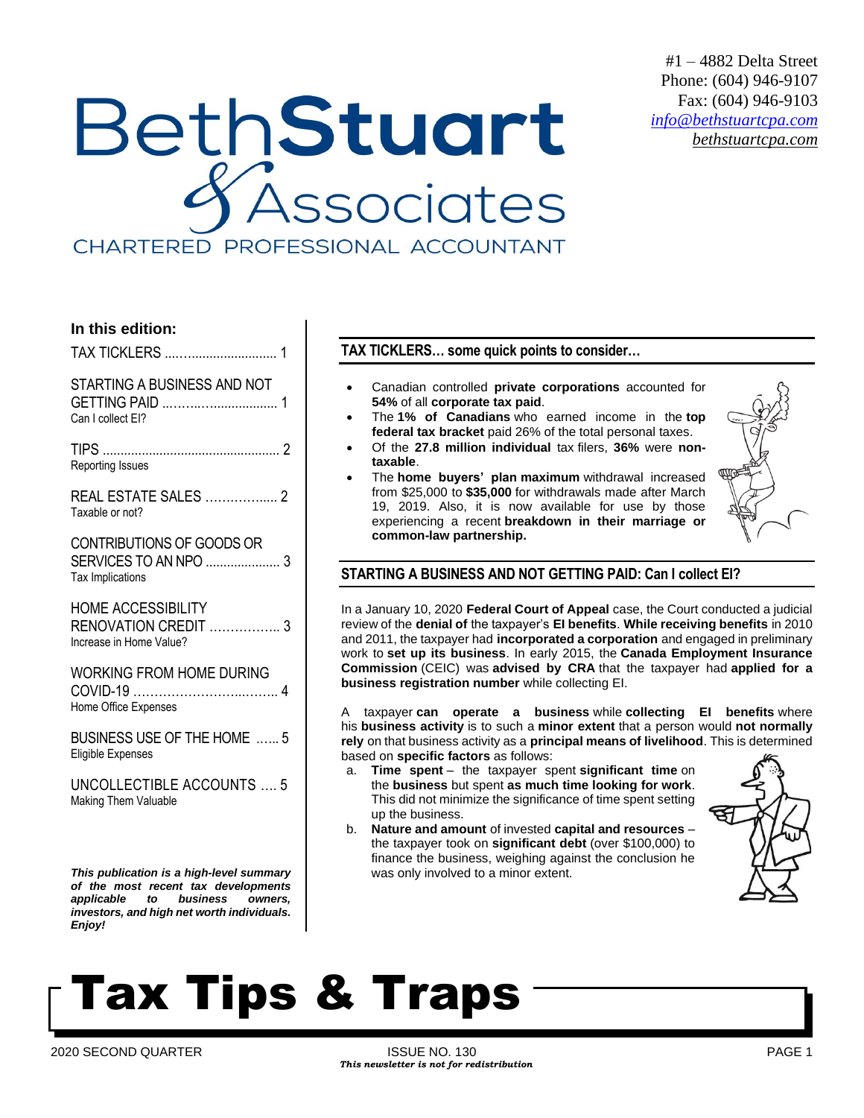## #1 – 4882 Delta Street Phone: (604) 946-9107 Fax: (604) 946-9103 *[info@bethstuartcpa.com](mailto:info@bethstuartcpa.com) bethstuartcpa.com*

## **BethStuart** .<br>Associates CHARTERED PROFESSIONAL ACCOUNTANT

## **In this edition:**

TAX TICKLERS ....…........................ 1

STARTING A BUSINESS AND NOT GETTING PAID ..……..….................. 1 Can I collect EI?

TIPS .................................................. 2 Reporting Issues

REAL ESTATE SALES …….……..... 2 Taxable or not?

CONTRIBUTIONS OF GOODS OR SERVICES TO AN NPO ..................... 3 Tax Implications

HOME ACCESSIBILITY RENOVATION CREDIT …………….. 3 Increase in Home Value?

WORKING FROM HOME DURING COVID-19 ……………………...…….. 4 Home Office Expenses

BUSINESS USE OF THE HOME .….. 5 Eligible Expenses

UNCOLLECTIBLE ACCOUNTS …. 5 Making Them Valuable

*This publication is a high-level summary of the most recent tax developments applicable to business owners, investors, and high net worth individuals. Enjoy!*

**TAX TICKLERS… some quick points to consider…**

- Canadian controlled **private corporations** accounted for **54%** of all **corporate tax paid**.
- The **1% of Canadians** who earned income in the **top federal tax bracket** paid 26% of the total personal taxes.
- Of the **27.8 million individual** tax filers, **36%** were **nontaxable**.
- The **home buyers' plan maximum** withdrawal increased from \$25,000 to **\$35,000** for withdrawals made after March 19, 2019. Also, it is now available for use by those experiencing a recent **breakdown in their marriage or common-law partnership.**



## **STARTING A BUSINESS AND NOT GETTING PAID: Can I collect EI?**

In a January 10, 2020 **Federal Court of Appeal** case, the Court conducted a judicial review of the **denial of** the taxpayer's **EI benefits**. **While receiving benefits** in 2010 and 2011, the taxpayer had **incorporated a corporation** and engaged in preliminary work to **set up its business**. In early 2015, the **Canada Employment Insurance Commission** (CEIC) was **advised by CRA** that the taxpayer had **applied for a business registration number** while collecting EI.

A taxpayer **can operate a business** while **collecting EI benefits** where his **business activity** is to such a **minor extent** that a person would **not normally rely** on that business activity as a **principal means of livelihood**. This is determined based on **specific factors** as follows:

- a. **Time spent** the taxpayer spent **significant time** on the **business** but spent **as much time looking for work**. This did not minimize the significance of time spent setting up the business.
- b. **Nature and amount** of invested **capital and resources** the taxpayer took on **significant debt** (over \$100,000) to finance the business, weighing against the conclusion he was only involved to a minor extent.

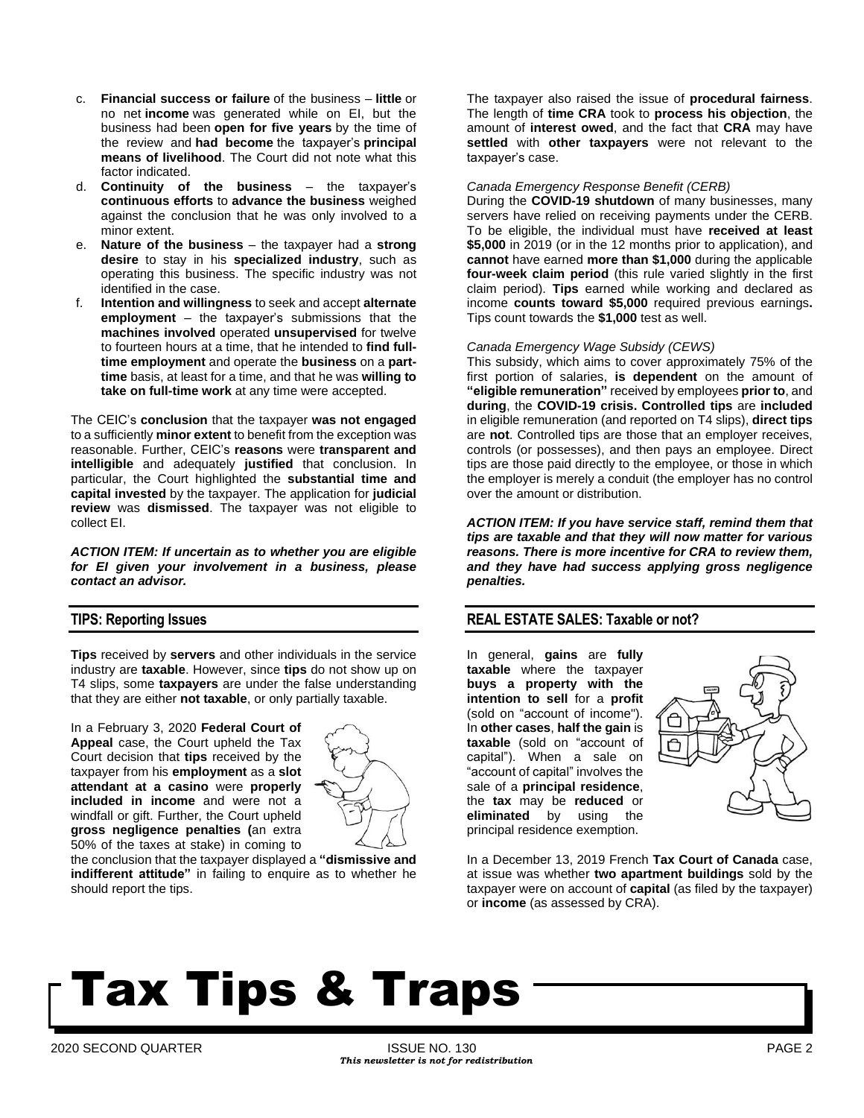- c. **Financial success or failure** of the business **little** or no net **income** was generated while on EI, but the business had been **open for five years** by the time of the review and **had become** the taxpayer's **principal means of livelihood**. The Court did not note what this factor indicated.
- d. **Continuity of the business** the taxpayer's **continuous efforts** to **advance the business** weighed against the conclusion that he was only involved to a minor extent.
- e. **Nature of the business** the taxpayer had a **strong desire** to stay in his **specialized industry**, such as operating this business. The specific industry was not identified in the case.
- f. **Intention and willingness** to seek and accept **alternate employment** – the taxpayer's submissions that the **machines involved** operated **unsupervised** for twelve to fourteen hours at a time, that he intended to **find fulltime employment** and operate the **business** on a **parttime** basis, at least for a time, and that he was **willing to take on full-time work** at any time were accepted.

The CEIC's **conclusion** that the taxpayer **was not engaged** to a sufficiently **minor extent** to benefit from the exception was reasonable. Further, CEIC's **reasons** were **transparent and intelligible** and adequately **justified** that conclusion. In particular, the Court highlighted the **substantial time and capital invested** by the taxpayer. The application for **judicial review** was **dismissed**. The taxpayer was not eligible to collect EI.

*ACTION ITEM: If uncertain as to whether you are eligible for EI given your involvement in a business, please contact an advisor.*

### **TIPS: Reporting Issues**

**Tips** received by **servers** and other individuals in the service industry are **taxable**. However, since **tips** do not show up on T4 slips, some **taxpayers** are under the false understanding that they are either **not taxable**, or only partially taxable.

In a February 3, 2020 **Federal Court of Appeal** case, the Court upheld the Tax Court decision that **tips** received by the taxpayer from his **employment** as a **slot attendant at a casino** were **properly included in income** and were not a windfall or gift. Further, the Court upheld **gross negligence penalties (**an extra 50% of the taxes at stake) in coming to



the conclusion that the taxpayer displayed a **"dismissive and indifferent attitude"** in failing to enquire as to whether he should report the tips.

The taxpayer also raised the issue of **procedural fairness**. The length of **time CRA** took to **process his objection**, the amount of **interest owed**, and the fact that **CRA** may have **settled** with **other taxpayers** were not relevant to the taxpayer's case.

#### *Canada Emergency Response Benefit (CERB)*

During the **COVID-19 shutdown** of many businesses, many servers have relied on receiving payments under the CERB. To be eligible, the individual must have **received at least \$5,000** in 2019 (or in the 12 months prior to application), and **cannot** have earned **more than \$1,000** during the applicable **four-week claim period** (this rule varied slightly in the first claim period). **Tips** earned while working and declared as income **counts toward \$5,000** required previous earnings**.** Tips count towards the **\$1,000** test as well.

#### *Canada Emergency Wage Subsidy (CEWS)*

This subsidy, which aims to cover approximately 75% of the first portion of salaries, **is dependent** on the amount of **"eligible remuneration"** received by employees **prior to**, and **during**, the **COVID-19 crisis. Controlled tips** are **included** in eligible remuneration (and reported on T4 slips), **direct tips** are **not**. Controlled tips are those that an employer receives, controls (or possesses), and then pays an employee. Direct tips are those paid directly to the employee, or those in which the employer is merely a conduit (the employer has no control over the amount or distribution.

*ACTION ITEM: If you have service staff, remind them that tips are taxable and that they will now matter for various reasons. There is more incentive for CRA to review them, and they have had success applying gross negligence penalties.*

### **REAL ESTATE SALES: Taxable or not?**

In general, **gains** are **fully taxable** where the taxpayer **buys a property with the intention to sell** for a **profit** (sold on "account of income"). In **other cases**, **half the gain** is **taxable** (sold on "account of capital"). When a sale on "account of capital" involves the sale of a **principal residence**, the **tax** may be **reduced** or **eliminated** by using the principal residence exemption.



In a December 13, 2019 French **Tax Court of Canada** case, at issue was whether **two apartment buildings** sold by the taxpayer were on account of **capital** (as filed by the taxpayer) or **income** (as assessed by CRA).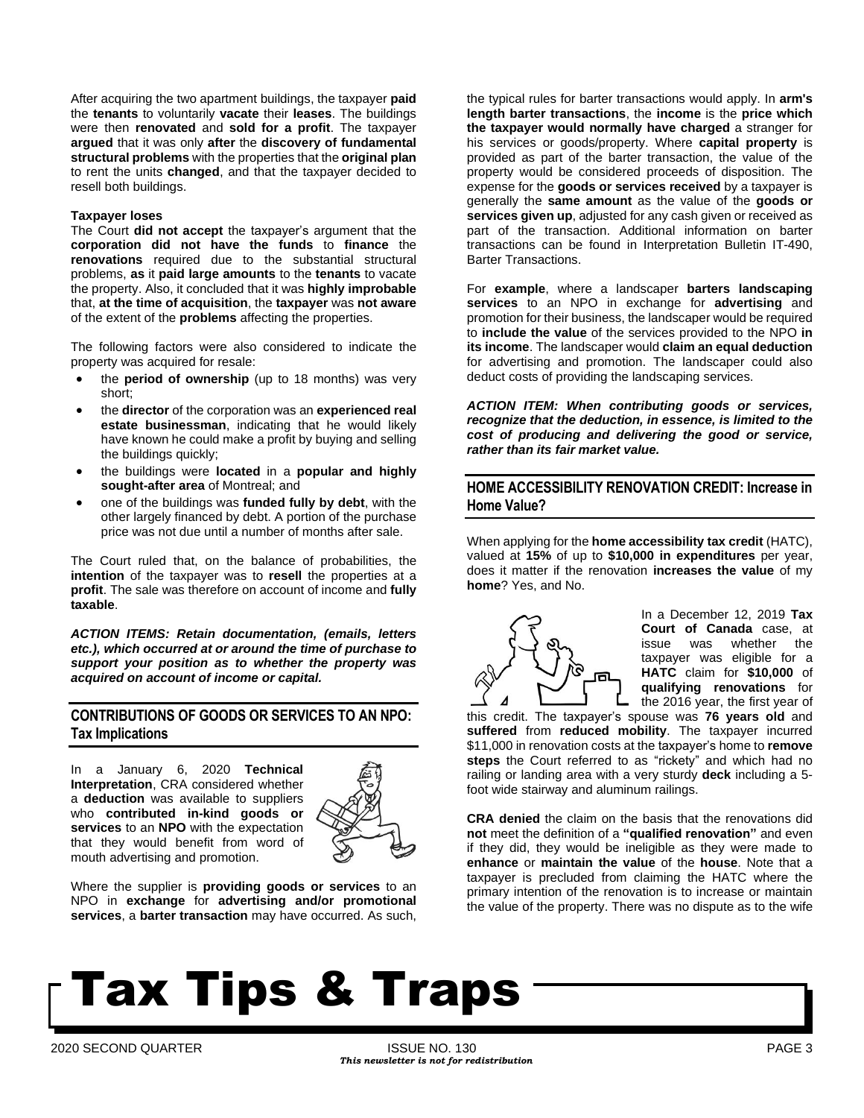After acquiring the two apartment buildings, the taxpayer **paid** the **tenants** to voluntarily **vacate** their **leases**. The buildings were then **renovated** and **sold for a profit**. The taxpayer **argued** that it was only **after** the **discovery of fundamental structural problems** with the properties that the **original plan** to rent the units **changed**, and that the taxpayer decided to resell both buildings.

#### **Taxpayer loses**

The Court **did not accept** the taxpayer's argument that the **corporation did not have the funds** to **finance** the **renovations** required due to the substantial structural problems, **as** it **paid large amounts** to the **tenants** to vacate the property. Also, it concluded that it was **highly improbable** that, **at the time of acquisition**, the **taxpayer** was **not aware** of the extent of the **problems** affecting the properties.

The following factors were also considered to indicate the property was acquired for resale:

- the **period of ownership** (up to 18 months) was very short;
- the **director** of the corporation was an **experienced real estate businessman**, indicating that he would likely have known he could make a profit by buying and selling the buildings quickly;
- the buildings were **located** in a **popular and highly sought-after area** of Montreal; and
- one of the buildings was **funded fully by debt**, with the other largely financed by debt. A portion of the purchase price was not due until a number of months after sale.

The Court ruled that, on the balance of probabilities, the **intention** of the taxpayer was to **resell** the properties at a **profit**. The sale was therefore on account of income and **fully taxable**.

*ACTION ITEMS: Retain documentation, (emails, letters etc.), which occurred at or around the time of purchase to support your position as to whether the property was acquired on account of income or capital.*

### **CONTRIBUTIONS OF GOODS OR SERVICES TO AN NPO: Tax Implications**

In a January 6, 2020 **Technical Interpretation**, CRA considered whether a **deduction** was available to suppliers who **contributed in-kind goods or services** to an **NPO** with the expectation that they would benefit from word of mouth advertising and promotion.



Where the supplier is **providing goods or services** to an NPO in **exchange** for **advertising and/or promotional services**, a **barter transaction** may have occurred. As such,

the typical rules for barter transactions would apply. In **arm's length barter transactions**, the **income** is the **price which the taxpayer would normally have charged** a stranger for his services or goods/property. Where **capital property** is provided as part of the barter transaction, the value of the property would be considered proceeds of disposition. The expense for the **goods or services received** by a taxpayer is generally the **same amount** as the value of the **goods or services given up**, adjusted for any cash given or received as part of the transaction. Additional information on barter transactions can be found in Interpretation Bulletin IT-490, Barter Transactions.

For **example**, where a landscaper **barters landscaping services** to an NPO in exchange for **advertising** and promotion for their business, the landscaper would be required to **include the value** of the services provided to the NPO **in its income**. The landscaper would **claim an equal deduction** for advertising and promotion. The landscaper could also deduct costs of providing the landscaping services.

*ACTION ITEM: When contributing goods or services, recognize that the deduction, in essence, is limited to the cost of producing and delivering the good or service, rather than its fair market value.*

## **HOME ACCESSIBILITY RENOVATION CREDIT: Increase in Home Value?**

When applying for the **home accessibility tax credit** (HATC), valued at **15%** of up to **\$10,000 in expenditures** per year, does it matter if the renovation **increases the value** of my **home**? Yes, and No.



In a December 12, 2019 **Tax Court of Canada** case, at issue was whether the taxpayer was eligible for a **HATC** claim for **\$10,000** of **qualifying renovations** for the 2016 year, the first year of

this credit. The taxpayer's spouse was **76 years old** and **suffered** from **reduced mobility**. The taxpayer incurred \$11,000 in renovation costs at the taxpayer's home to **remove steps** the Court referred to as "rickety" and which had no railing or landing area with a very sturdy **deck** including a 5 foot wide stairway and aluminum railings.

**CRA denied** the claim on the basis that the renovations did **not** meet the definition of a **"qualified renovation"** and even if they did, they would be ineligible as they were made to **enhance** or **maintain the value** of the **house**. Note that a taxpayer is precluded from claiming the HATC where the primary intention of the renovation is to increase or maintain the value of the property. There was no dispute as to the wife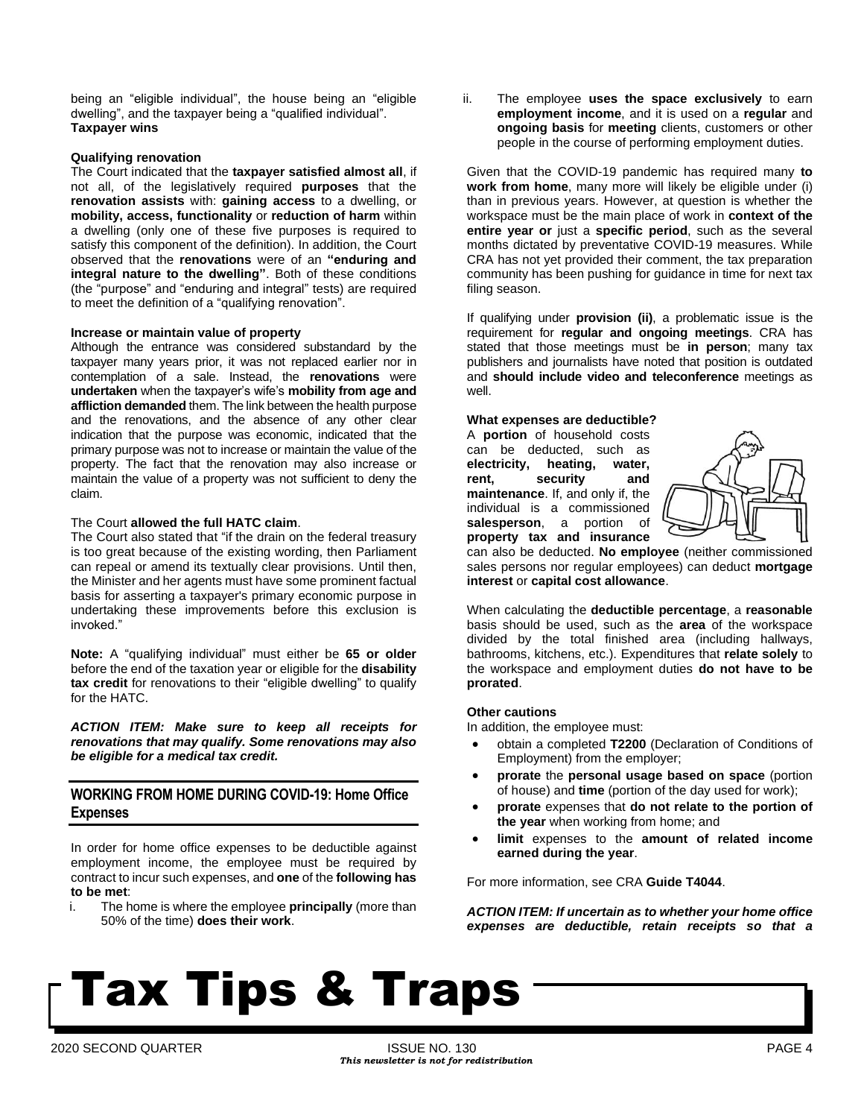being an "eligible individual", the house being an "eligible dwelling", and the taxpayer being a "qualified individual". **Taxpayer wins**

#### **Qualifying renovation**

The Court indicated that the **taxpayer satisfied almost all**, if not all, of the legislatively required **purposes** that the **renovation assists** with: **gaining access** to a dwelling, or **mobility, access, functionality** or **reduction of harm** within a dwelling (only one of these five purposes is required to satisfy this component of the definition). In addition, the Court observed that the **renovations** were of an **"enduring and integral nature to the dwelling"**. Both of these conditions (the "purpose" and "enduring and integral" tests) are required to meet the definition of a "qualifying renovation".

#### **Increase or maintain value of property**

Although the entrance was considered substandard by the taxpayer many years prior, it was not replaced earlier nor in contemplation of a sale. Instead, the **renovations** were **undertaken** when the taxpayer's wife's **mobility from age and affliction demanded** them. The link between the health purpose and the renovations, and the absence of any other clear indication that the purpose was economic, indicated that the primary purpose was not to increase or maintain the value of the property. The fact that the renovation may also increase or maintain the value of a property was not sufficient to deny the claim.

#### The Court **allowed the full HATC claim**.

The Court also stated that "if the drain on the federal treasury is too great because of the existing wording, then Parliament can repeal or amend its textually clear provisions. Until then, the Minister and her agents must have some prominent factual basis for asserting a taxpayer's primary economic purpose in undertaking these improvements before this exclusion is invoked."

**Note:** A "qualifying individual" must either be **65 or older** before the end of the taxation year or eligible for the **disability tax credit** for renovations to their "eligible dwelling" to qualify for the HATC.

*ACTION ITEM: Make sure to keep all receipts for renovations that may qualify. Some renovations may also be eligible for a medical tax credit.*

## **WORKING FROM HOME DURING COVID-19: Home Office Expenses**

In order for home office expenses to be deductible against employment income, the employee must be required by contract to incur such expenses, and **one** of the **following has to be met**:

i. The home is where the employee **principally** (more than 50% of the time) **does their work**.

ii. The employee **uses the space exclusively** to earn **employment income**, and it is used on a **regular** and **ongoing basis** for **meeting** clients, customers or other people in the course of performing employment duties.

Given that the COVID-19 pandemic has required many **to work from home**, many more will likely be eligible under (i) than in previous years. However, at question is whether the workspace must be the main place of work in **context of the entire year or** just a **specific period**, such as the several months dictated by preventative COVID-19 measures. While CRA has not yet provided their comment, the tax preparation community has been pushing for guidance in time for next tax filing season.

If qualifying under **provision (ii)**, a problematic issue is the requirement for **regular and ongoing meetings**. CRA has stated that those meetings must be **in person**; many tax publishers and journalists have noted that position is outdated and **should include video and teleconference** meetings as well.

#### **What expenses are deductible?**

A **portion** of household costs can be deducted, such as **electricity, heating, water, rent, security and maintenance**. If, and only if, the individual is a commissioned **salesperson**, a portion of **property tax and insurance**



can also be deducted. **No employee** (neither commissioned sales persons nor regular employees) can deduct **mortgage interest** or **capital cost allowance**.

When calculating the **deductible percentage**, a **reasonable** basis should be used, such as the **area** of the workspace divided by the total finished area (including hallways, bathrooms, kitchens, etc.). Expenditures that **relate solely** to the workspace and employment duties **do not have to be prorated**.

#### **Other cautions**

In addition, the employee must:

- obtain a completed **T2200** (Declaration of Conditions of Employment) from the employer;
- **prorate** the **personal usage based on space** (portion of house) and **time** (portion of the day used for work);
- **prorate** expenses that **do not relate to the portion of the year** when working from home; and
- **limit** expenses to the **amount of related income earned during the year**.

For more information, see CRA **Guide T4044**.

*ACTION ITEM: If uncertain as to whether your home office expenses are deductible, retain receipts so that a*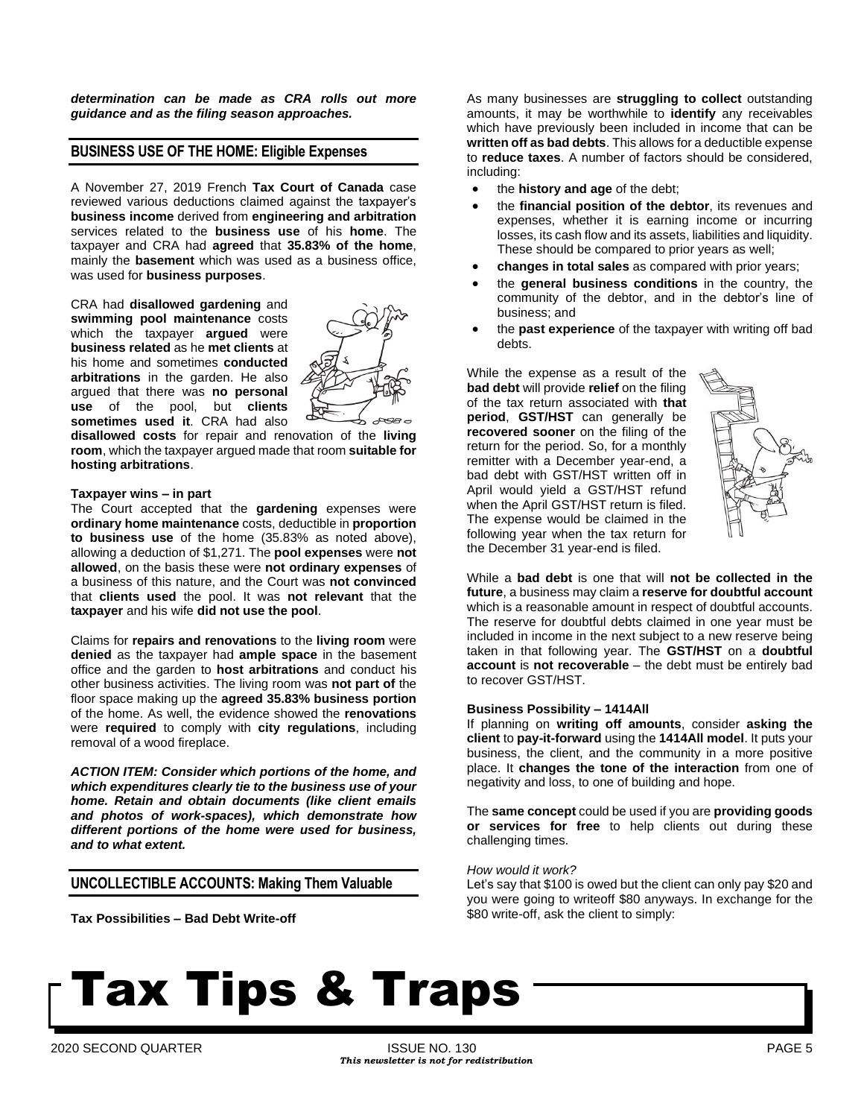*determination can be made as CRA rolls out more guidance and as the filing season approaches.*

#### **BUSINESS USE OF THE HOME: Eligible Expenses**

A November 27, 2019 French **Tax Court of Canada** case reviewed various deductions claimed against the taxpayer's **business income** derived from **engineering and arbitration** services related to the **business use** of his **home**. The taxpayer and CRA had **agreed** that **35.83% of the home**, mainly the **basement** which was used as a business office, was used for **business purposes**.

CRA had **disallowed gardening** and **swimming pool maintenance** costs which the taxpayer **argued** were **business related** as he **met clients** at his home and sometimes **conducted arbitrations** in the garden. He also argued that there was **no personal use** of the pool, but **clients sometimes used it**. CRA had also



**disallowed costs** for repair and renovation of the **living room**, which the taxpayer argued made that room **suitable for hosting arbitrations**.

#### **Taxpayer wins – in part**

The Court accepted that the **gardening** expenses were **ordinary home maintenance** costs, deductible in **proportion to business use** of the home (35.83% as noted above), allowing a deduction of \$1,271. The **pool expenses** were **not allowed**, on the basis these were **not ordinary expenses** of a business of this nature, and the Court was **not convinced** that **clients used** the pool. It was **not relevant** that the **taxpayer** and his wife **did not use the pool**.

Claims for **repairs and renovations** to the **living room** were **denied** as the taxpayer had **ample space** in the basement office and the garden to **host arbitrations** and conduct his other business activities. The living room was **not part of** the floor space making up the **agreed 35.83% business portion** of the home. As well, the evidence showed the **renovations** were **required** to comply with **city regulations**, including removal of a wood fireplace.

*ACTION ITEM: Consider which portions of the home, and which expenditures clearly tie to the business use of your home. Retain and obtain documents (like client emails and photos of work-spaces), which demonstrate how different portions of the home were used for business, and to what extent.*

### **UNCOLLECTIBLE ACCOUNTS: Making Them Valuable**

**Tax Possibilities – Bad Debt Write-off**

As many businesses are **struggling to collect** outstanding amounts, it may be worthwhile to **identify** any receivables which have previously been included in income that can be **written off as bad debts**. This allows for a deductible expense to **reduce taxes**. A number of factors should be considered, including:

- the **history and age** of the debt;
- the **financial position of the debtor**, its revenues and expenses, whether it is earning income or incurring losses, its cash flow and its assets, liabilities and liquidity. These should be compared to prior years as well;
- **changes in total sales** as compared with prior years;
- the **general business conditions** in the country, the community of the debtor, and in the debtor's line of business; and
- the **past experience** of the taxpayer with writing off bad debts.

While the expense as a result of the **bad debt** will provide **relief** on the filing of the tax return associated with **that period**, **GST/HST** can generally be **recovered sooner** on the filing of the return for the period. So, for a monthly remitter with a December year-end, a bad debt with GST/HST written off in April would yield a GST/HST refund when the April GST/HST return is filed. The expense would be claimed in the following year when the tax return for the December 31 year-end is filed.



While a **bad debt** is one that will **not be collected in the future**, a business may claim a **reserve for doubtful account** which is a reasonable amount in respect of doubtful accounts. The reserve for doubtful debts claimed in one year must be included in income in the next subject to a new reserve being taken in that following year. The **GST/HST** on a **doubtful account** is **not recoverable** – the debt must be entirely bad to recover GST/HST.

#### **Business Possibility – 1414All**

If planning on **writing off amounts**, consider **asking the client** to **pay-it-forward** using the **1414All model**. It puts your business, the client, and the community in a more positive place. It **changes the tone of the interaction** from one of negativity and loss, to one of building and hope.

The **same concept** could be used if you are **providing goods or services for free** to help clients out during these challenging times.

#### *How would it work?*

Let's say that \$100 is owed but the client can only pay \$20 and you were going to writeoff \$80 anyways. In exchange for the \$80 write-off, ask the client to simply: